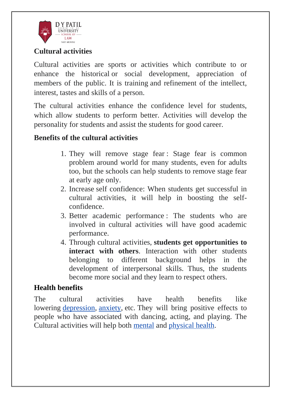

# **Cultural activities**

Cultural activities are sports or activities which contribute to or enhance the historical or social development, appreciation of members of the public. It is training and refinement of the intellect, interest, tastes and skills of a person.

The cultural activities enhance the confidence level for students, which allow students to perform better. Activities will develop the personality for students and assist the students for good career.

# **Benefits of the cultural activities**

- 1. They will remove stage fear : Stage fear is common problem around world for many students, even for adults too, but the schools can help students to remove stage fear at early age only.
- 2. Increase self confidence: When students get successful in cultural activities, it will help in boosting the selfconfidence.
- 3. Better academic performance : The students who are involved in cultural activities will have good academic performance.
- 4. Through cultural activities, **students get opportunities to interact with others**. Interaction with other students belonging to different background helps in the development of interpersonal skills. Thus, the students become more social and they learn to respect others.

## **Health benefits**

The cultural activities have health benefits like lowering [depression,](https://en.wikipedia.org/wiki/Depression_(mood)) [anxiety,](https://en.wikipedia.org/wiki/Anxiety) etc. They will bring positive effects to people who have associated with dancing, acting, and playing. The Cultural activities will help both [mental](https://en.wikipedia.org/wiki/Mental_health) and [physical health.](https://en.wikipedia.org/wiki/Physical_health)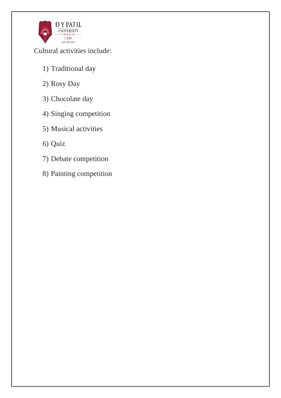

Cultural activities include:

- 1) Traditional day
- 2) Rosy Day
- 3) Chocolate day
- 4) Singing competition
- 5) Musical activities
- 6) Quiz
- 7) Debate competition
- 8) Painting competition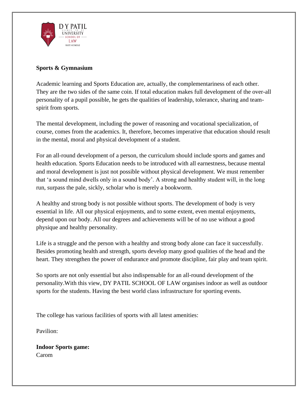

#### **Sports & Gymnasium**

Academic learning and Sports Education are, actually, the complementariness of each other. They are the two sides of the same coin. If total education makes full development of the over-all personality of a pupil possible, he gets the qualities of leadership, tolerance, sharing and teamspirit from sports.

The mental development, including the power of reasoning and vocational specialization, of course, comes from the academics. It, therefore, becomes imperative that education should result in the mental, moral and physical development of a student.

For an all-round development of a person, the curriculum should include sports and games and health education. Sports Education needs to be introduced with all earnestness, because mental and moral development is just not possible without physical development. We must remember that 'a sound mind dwells only in a sound body'. A strong and healthy student will, in the long run, surpass the pale, sickly, scholar who is merely a bookworm.

A healthy and strong body is not possible without sports. The development of body is very essential in life. All our physical enjoyments, and to some extent, even mental enjoyments, depend upon our body. All our degrees and achievements will be of no use without a good physique and healthy personality.

Life is a struggle and the person with a healthy and strong body alone can face it successfully. Besides promoting health and strength, sports develop many good qualities of the head and the heart. They strengthen the power of endurance and promote discipline, fair play and team spirit.

So sports are not only essential but also indispensable for an all-round development of the personality.With this view, DY PATIL SCHOOL OF LAW organises indoor as well as outdoor sports for the students. Having the best world class infrastructure for sporting events.

The college has various facilities of sports with all latest amenities:

Pavilion:

**Indoor Sports game:** Carom